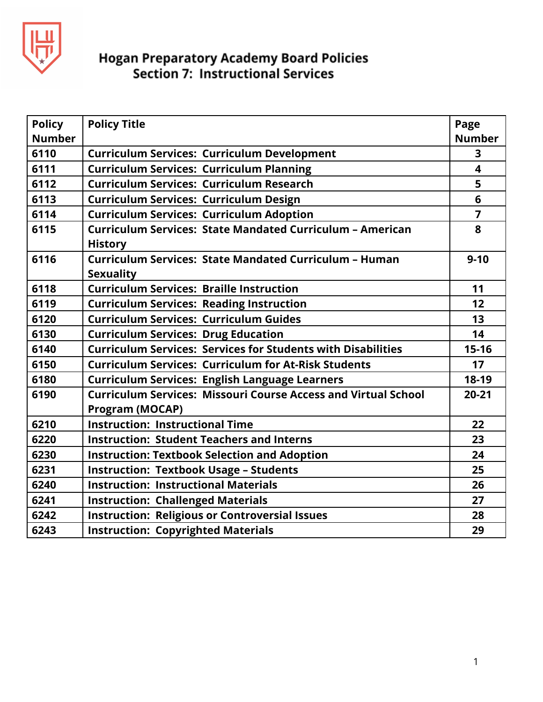

| <b>Policy</b> | <b>Policy Title</b>                                                                             | Page                    |
|---------------|-------------------------------------------------------------------------------------------------|-------------------------|
| <b>Number</b> |                                                                                                 | <b>Number</b>           |
| 6110          | <b>Curriculum Services: Curriculum Development</b>                                              | 3                       |
| 6111          | <b>Curriculum Services: Curriculum Planning</b>                                                 | $\overline{\mathbf{4}}$ |
| 6112          | <b>Curriculum Services: Curriculum Research</b>                                                 | 5                       |
| 6113          | <b>Curriculum Services: Curriculum Design</b>                                                   | 6                       |
| 6114          | <b>Curriculum Services: Curriculum Adoption</b>                                                 | $\overline{7}$          |
| 6115          | Curriculum Services: State Mandated Curriculum - American<br><b>History</b>                     | 8                       |
| 6116          | Curriculum Services: State Mandated Curriculum - Human<br><b>Sexuality</b>                      | $9 - 10$                |
| 6118          | <b>Curriculum Services: Braille Instruction</b>                                                 | 11                      |
| 6119          | <b>Curriculum Services: Reading Instruction</b>                                                 | 12                      |
| 6120          | <b>Curriculum Services: Curriculum Guides</b>                                                   | 13                      |
| 6130          | <b>Curriculum Services: Drug Education</b>                                                      | 14                      |
| 6140          | <b>Curriculum Services: Services for Students with Disabilities</b>                             | $15 - 16$               |
| 6150          | <b>Curriculum Services: Curriculum for At-Risk Students</b>                                     | 17                      |
| 6180          | <b>Curriculum Services: English Language Learners</b>                                           | 18-19                   |
| 6190          | <b>Curriculum Services: Missouri Course Access and Virtual School</b><br><b>Program (MOCAP)</b> | $20 - 21$               |
| 6210          | <b>Instruction: Instructional Time</b>                                                          | 22                      |
| 6220          | <b>Instruction: Student Teachers and Interns</b>                                                | 23                      |
| 6230          | <b>Instruction: Textbook Selection and Adoption</b>                                             | 24                      |
| 6231          | <b>Instruction: Textbook Usage - Students</b>                                                   | 25                      |
| 6240          | <b>Instruction: Instructional Materials</b>                                                     | 26                      |
| 6241          | <b>Instruction: Challenged Materials</b>                                                        | 27                      |
| 6242          | <b>Instruction: Religious or Controversial Issues</b>                                           | 28                      |
| 6243          | <b>Instruction: Copyrighted Materials</b>                                                       | 29                      |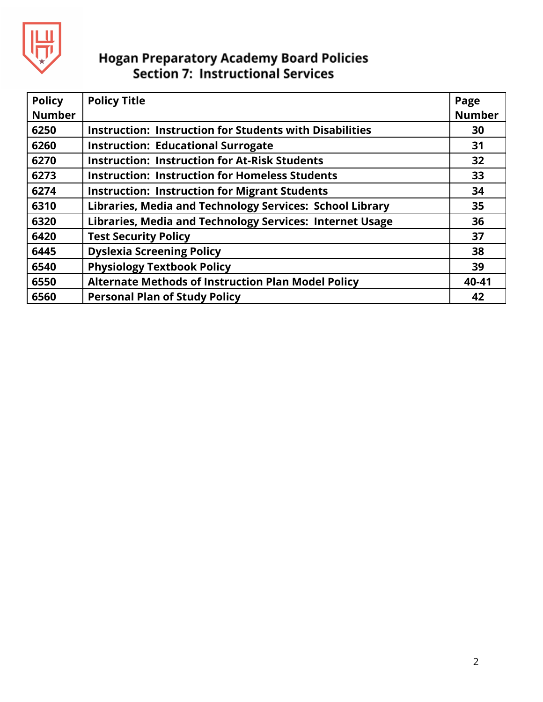

| <b>Policy</b><br><b>Number</b> | <b>Policy Title</b>                                            | Page<br><b>Number</b> |
|--------------------------------|----------------------------------------------------------------|-----------------------|
| 6250                           | <b>Instruction: Instruction for Students with Disabilities</b> | 30                    |
| 6260                           | <b>Instruction: Educational Surrogate</b>                      | 31                    |
| 6270                           | <b>Instruction: Instruction for At-Risk Students</b>           | 32                    |
| 6273                           | <b>Instruction: Instruction for Homeless Students</b>          | 33                    |
| 6274                           | <b>Instruction: Instruction for Migrant Students</b>           | 34                    |
| 6310                           | Libraries, Media and Technology Services: School Library       | 35                    |
| 6320                           | Libraries, Media and Technology Services: Internet Usage       | 36                    |
| 6420                           | <b>Test Security Policy</b>                                    | 37                    |
| 6445                           | <b>Dyslexia Screening Policy</b>                               | 38                    |
| 6540                           | <b>Physiology Textbook Policy</b>                              | 39                    |
| 6550                           | <b>Alternate Methods of Instruction Plan Model Policy</b>      | 40-41                 |
| 6560                           | <b>Personal Plan of Study Policy</b>                           | 42                    |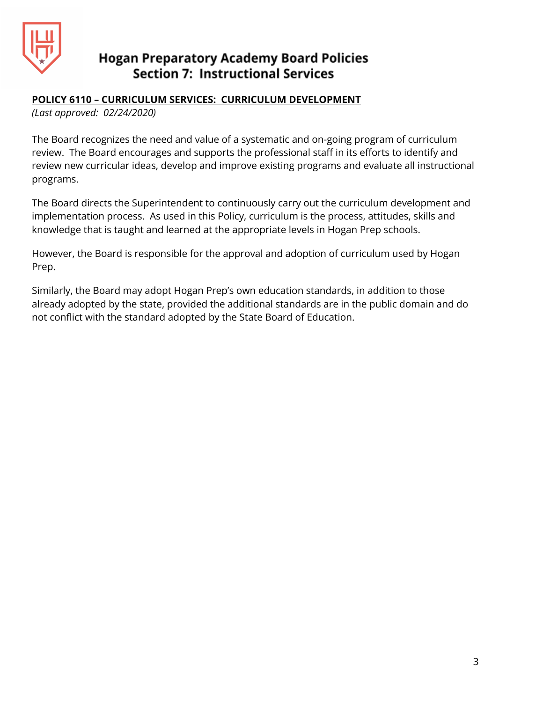

#### **POLICY 6110 – CURRICULUM SERVICES: CURRICULUM DEVELOPMENT**

*(Last approved: 02/24/2020)*

The Board recognizes the need and value of a systematic and on-going program of curriculum review. The Board encourages and supports the professional staff in its efforts to identify and review new curricular ideas, develop and improve existing programs and evaluate all instructional programs.

The Board directs the Superintendent to continuously carry out the curriculum development and implementation process. As used in this Policy, curriculum is the process, attitudes, skills and knowledge that is taught and learned at the appropriate levels in Hogan Prep schools.

However, the Board is responsible for the approval and adoption of curriculum used by Hogan Prep.

Similarly, the Board may adopt Hogan Prep's own education standards, in addition to those already adopted by the state, provided the additional standards are in the public domain and do not conflict with the standard adopted by the State Board of Education.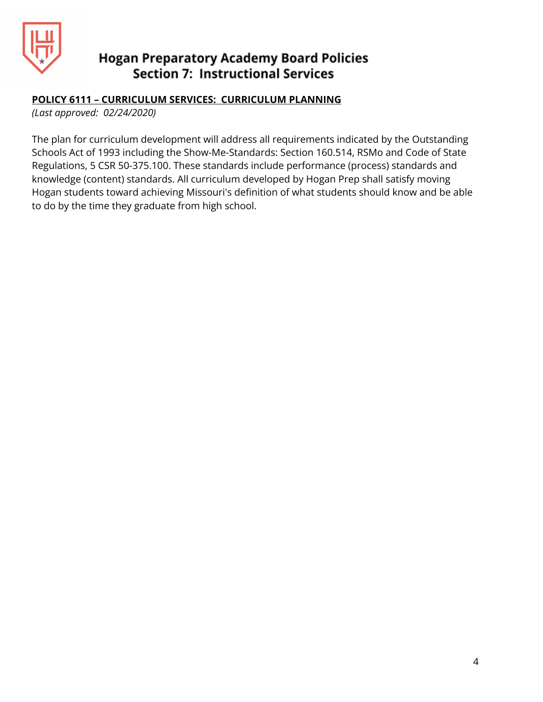

#### **POLICY 6111 – CURRICULUM SERVICES: CURRICULUM PLANNING**

*(Last approved: 02/24/2020)*

The plan for curriculum development will address all requirements indicated by the Outstanding Schools Act of 1993 including the Show-Me-Standards: Section 160.514, RSMo and Code of State Regulations, 5 CSR 50-375.100. These standards include performance (process) standards and knowledge (content) standards. All curriculum developed by Hogan Prep shall satisfy moving Hogan students toward achieving Missouri's definition of what students should know and be able to do by the time they graduate from high school.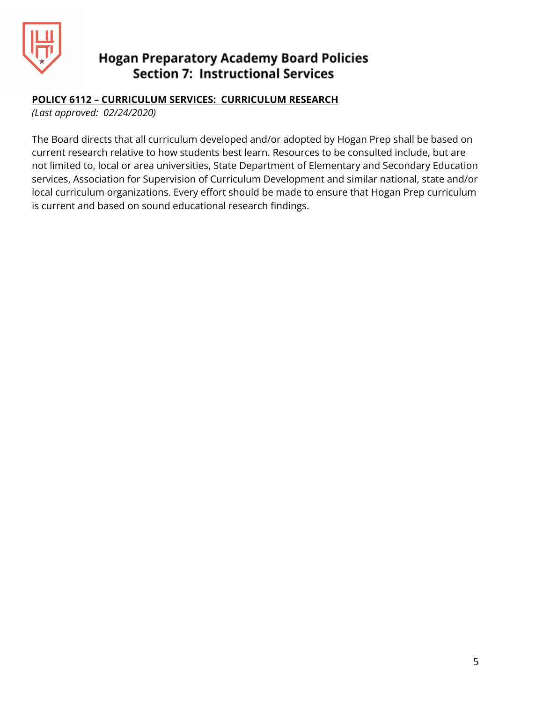

#### **POLICY 6112 – CURRICULUM SERVICES: CURRICULUM RESEARCH**

*(Last approved: 02/24/2020)*

The Board directs that all curriculum developed and/or adopted by Hogan Prep shall be based on current research relative to how students best learn. Resources to be consulted include, but are not limited to, local or area universities, State Department of Elementary and Secondary Education services, Association for Supervision of Curriculum Development and similar national, state and/or local curriculum organizations. Every effort should be made to ensure that Hogan Prep curriculum is current and based on sound educational research findings.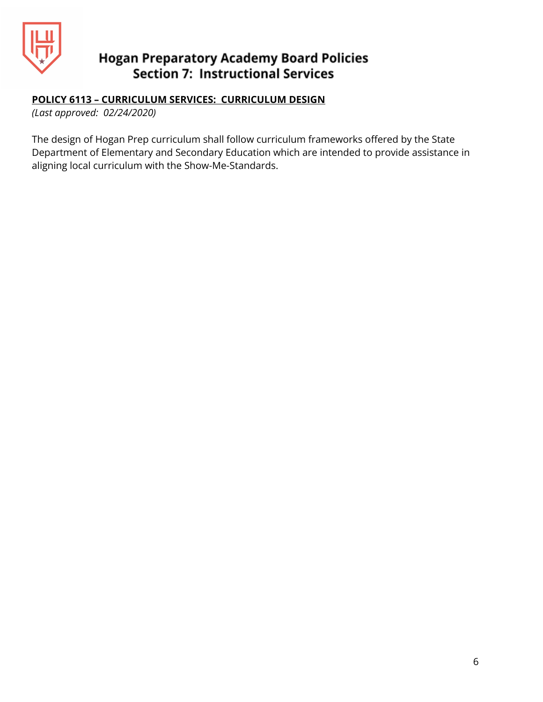

#### **POLICY 6113 – CURRICULUM SERVICES: CURRICULUM DESIGN**

*(Last approved: 02/24/2020)*

The design of Hogan Prep curriculum shall follow curriculum frameworks offered by the State Department of Elementary and Secondary Education which are intended to provide assistance in aligning local curriculum with the Show-Me-Standards.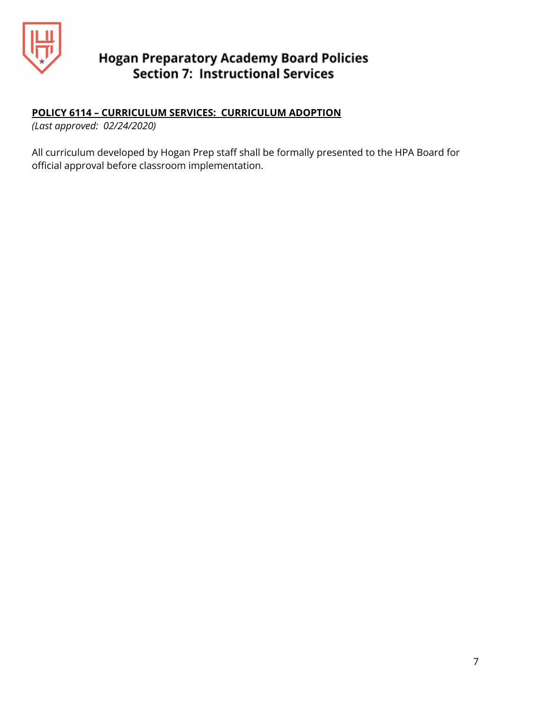

#### **POLICY 6114 – CURRICULUM SERVICES: CURRICULUM ADOPTION**

*(Last approved: 02/24/2020)*

All curriculum developed by Hogan Prep staff shall be formally presented to the HPA Board for official approval before classroom implementation.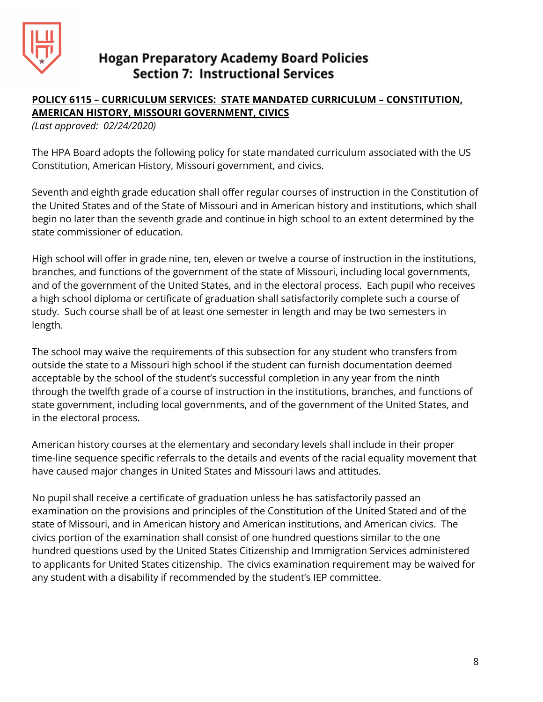

## **POLICY 6115 – CURRICULUM SERVICES: STATE MANDATED CURRICULUM – CONSTITUTION, AMERICAN HISTORY, MISSOURI GOVERNMENT, CIVICS**

*(Last approved: 02/24/2020)*

The HPA Board adopts the following policy for state mandated curriculum associated with the US Constitution, American History, Missouri government, and civics.

Seventh and eighth grade education shall offer regular courses of instruction in the Constitution of the United States and of the State of Missouri and in American history and institutions, which shall begin no later than the seventh grade and continue in high school to an extent determined by the state commissioner of education.

High school will offer in grade nine, ten, eleven or twelve a course of instruction in the institutions, branches, and functions of the government of the state of Missouri, including local governments, and of the government of the United States, and in the electoral process. Each pupil who receives a high school diploma or certificate of graduation shall satisfactorily complete such a course of study. Such course shall be of at least one semester in length and may be two semesters in length.

The school may waive the requirements of this subsection for any student who transfers from outside the state to a Missouri high school if the student can furnish documentation deemed acceptable by the school of the student's successful completion in any year from the ninth through the twelfth grade of a course of instruction in the institutions, branches, and functions of state government, including local governments, and of the government of the United States, and in the electoral process.

American history courses at the elementary and secondary levels shall include in their proper time-line sequence specific referrals to the details and events of the racial equality movement that have caused major changes in United States and Missouri laws and attitudes.

No pupil shall receive a certificate of graduation unless he has satisfactorily passed an examination on the provisions and principles of the Constitution of the United Stated and of the state of Missouri, and in American history and American institutions, and American civics. The civics portion of the examination shall consist of one hundred questions similar to the one hundred questions used by the United States Citizenship and Immigration Services administered to applicants for United States citizenship. The civics examination requirement may be waived for any student with a disability if recommended by the student's IEP committee.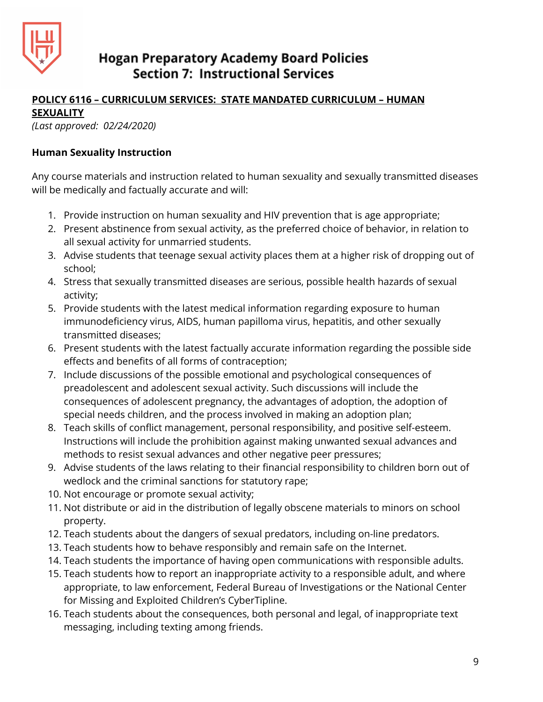

#### **POLICY 6116 – CURRICULUM SERVICES: STATE MANDATED CURRICULUM – HUMAN SEXUALITY**

*(Last approved: 02/24/2020)*

#### **Human Sexuality Instruction**

Any course materials and instruction related to human sexuality and sexually transmitted diseases will be medically and factually accurate and will:

- 1. Provide instruction on human sexuality and HIV prevention that is age appropriate;
- 2. Present abstinence from sexual activity, as the preferred choice of behavior, in relation to all sexual activity for unmarried students.
- 3. Advise students that teenage sexual activity places them at a higher risk of dropping out of school;
- 4. Stress that sexually transmitted diseases are serious, possible health hazards of sexual activity;
- 5. Provide students with the latest medical information regarding exposure to human immunodeficiency virus, AIDS, human papilloma virus, hepatitis, and other sexually transmitted diseases;
- 6. Present students with the latest factually accurate information regarding the possible side effects and benefits of all forms of contraception;
- 7. Include discussions of the possible emotional and psychological consequences of preadolescent and adolescent sexual activity. Such discussions will include the consequences of adolescent pregnancy, the advantages of adoption, the adoption of special needs children, and the process involved in making an adoption plan;
- 8. Teach skills of conflict management, personal responsibility, and positive self-esteem. Instructions will include the prohibition against making unwanted sexual advances and methods to resist sexual advances and other negative peer pressures;
- 9. Advise students of the laws relating to their financial responsibility to children born out of wedlock and the criminal sanctions for statutory rape;
- 10. Not encourage or promote sexual activity;
- 11. Not distribute or aid in the distribution of legally obscene materials to minors on school property.
- 12. Teach students about the dangers of sexual predators, including on-line predators.
- 13. Teach students how to behave responsibly and remain safe on the Internet.
- 14. Teach students the importance of having open communications with responsible adults.
- 15. Teach students how to report an inappropriate activity to a responsible adult, and where appropriate, to law enforcement, Federal Bureau of Investigations or the National Center for Missing and Exploited Children's CyberTipline.
- 16. Teach students about the consequences, both personal and legal, of inappropriate text messaging, including texting among friends.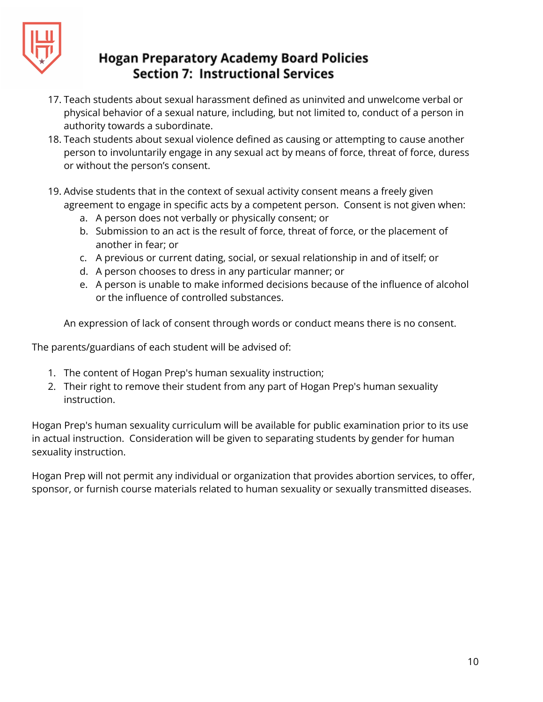

- 17. Teach students about sexual harassment defined as uninvited and unwelcome verbal or physical behavior of a sexual nature, including, but not limited to, conduct of a person in authority towards a subordinate.
- 18. Teach students about sexual violence defined as causing or attempting to cause another person to involuntarily engage in any sexual act by means of force, threat of force, duress or without the person's consent.
- 19. Advise students that in the context of sexual activity consent means a freely given agreement to engage in specific acts by a competent person. Consent is not given when:
	- a. A person does not verbally or physically consent; or
	- b. Submission to an act is the result of force, threat of force, or the placement of another in fear; or
	- c. A previous or current dating, social, or sexual relationship in and of itself; or
	- d. A person chooses to dress in any particular manner; or
	- e. A person is unable to make informed decisions because of the influence of alcohol or the influence of controlled substances.

An expression of lack of consent through words or conduct means there is no consent.

The parents/guardians of each student will be advised of:

- 1. The content of Hogan Prep's human sexuality instruction;
- 2. Their right to remove their student from any part of Hogan Prep's human sexuality instruction.

Hogan Prep's human sexuality curriculum will be available for public examination prior to its use in actual instruction. Consideration will be given to separating students by gender for human sexuality instruction.

Hogan Prep will not permit any individual or organization that provides abortion services, to offer, sponsor, or furnish course materials related to human sexuality or sexually transmitted diseases.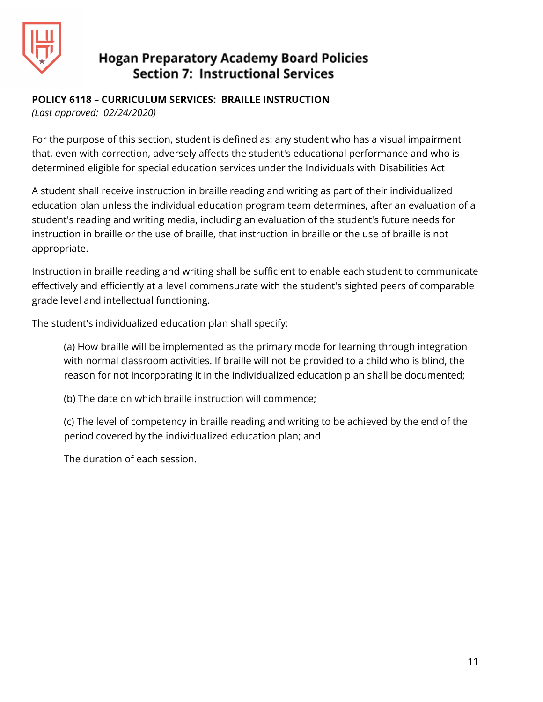

#### **POLICY 6118 – CURRICULUM SERVICES: BRAILLE INSTRUCTION**

*(Last approved: 02/24/2020)*

For the purpose of this section, student is defined as: any student who has a visual impairment that, even with correction, adversely affects the student's educational performance and who is determined eligible for special education services under the Individuals with Disabilities Act

A student shall receive instruction in braille reading and writing as part of their individualized education plan unless the individual education program team determines, after an evaluation of a student's reading and writing media, including an evaluation of the student's future needs for instruction in braille or the use of braille, that instruction in braille or the use of braille is not appropriate.

Instruction in braille reading and writing shall be sufficient to enable each student to communicate effectively and efficiently at a level commensurate with the student's sighted peers of comparable grade level and intellectual functioning.

The student's individualized education plan shall specify:

(a) How braille will be implemented as the primary mode for learning through integration with normal classroom activities. If braille will not be provided to a child who is blind, the reason for not incorporating it in the individualized education plan shall be documented;

(b) The date on which braille instruction will commence;

(c) The level of competency in braille reading and writing to be achieved by the end of the period covered by the individualized education plan; and

The duration of each session.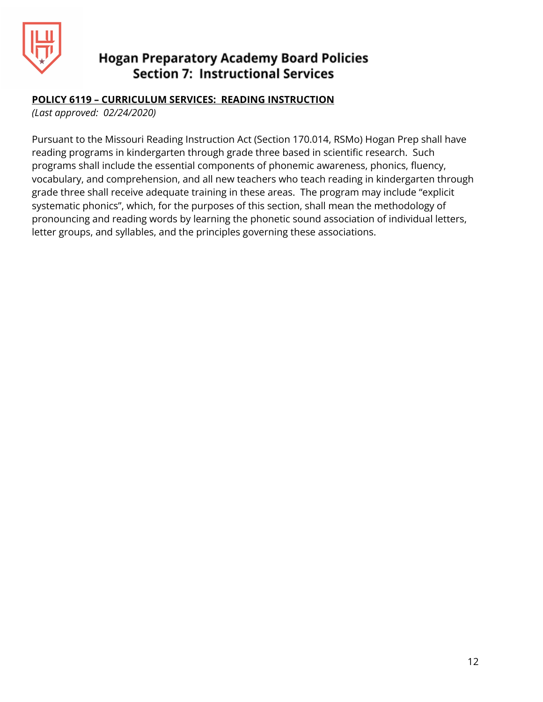

#### **POLICY 6119 – CURRICULUM SERVICES: READING INSTRUCTION**

*(Last approved: 02/24/2020)*

Pursuant to the Missouri Reading Instruction Act (Section 170.014, RSMo) Hogan Prep shall have reading programs in kindergarten through grade three based in scientific research. Such programs shall include the essential components of phonemic awareness, phonics, fluency, vocabulary, and comprehension, and all new teachers who teach reading in kindergarten through grade three shall receive adequate training in these areas. The program may include "explicit systematic phonics", which, for the purposes of this section, shall mean the methodology of pronouncing and reading words by learning the phonetic sound association of individual letters, letter groups, and syllables, and the principles governing these associations.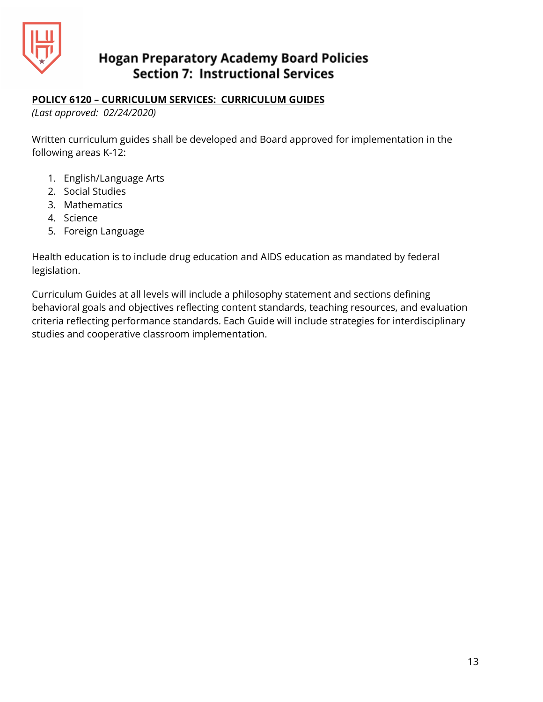

#### **POLICY 6120 – CURRICULUM SERVICES: CURRICULUM GUIDES**

*(Last approved: 02/24/2020)*

Written curriculum guides shall be developed and Board approved for implementation in the following areas K-12:

- 1. English/Language Arts
- 2. Social Studies
- 3. Mathematics
- 4. Science
- 5. Foreign Language

Health education is to include drug education and AIDS education as mandated by federal legislation.

Curriculum Guides at all levels will include a philosophy statement and sections defining behavioral goals and objectives reflecting content standards, teaching resources, and evaluation criteria reflecting performance standards. Each Guide will include strategies for interdisciplinary studies and cooperative classroom implementation.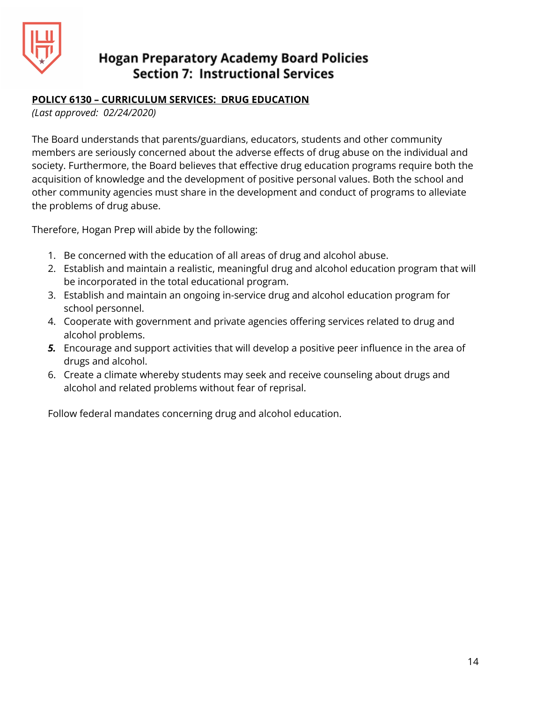

#### **POLICY 6130 – CURRICULUM SERVICES: DRUG EDUCATION**

*(Last approved: 02/24/2020)*

The Board understands that parents/guardians, educators, students and other community members are seriously concerned about the adverse effects of drug abuse on the individual and society. Furthermore, the Board believes that effective drug education programs require both the acquisition of knowledge and the development of positive personal values. Both the school and other community agencies must share in the development and conduct of programs to alleviate the problems of drug abuse.

Therefore, Hogan Prep will abide by the following:

- 1. Be concerned with the education of all areas of drug and alcohol abuse.
- 2. Establish and maintain a realistic, meaningful drug and alcohol education program that will be incorporated in the total educational program.
- 3. Establish and maintain an ongoing in-service drug and alcohol education program for school personnel.
- 4. Cooperate with government and private agencies offering services related to drug and alcohol problems.
- *5.* Encourage and support activities that will develop a positive peer influence in the area of drugs and alcohol.
- 6. Create a climate whereby students may seek and receive counseling about drugs and alcohol and related problems without fear of reprisal.

Follow federal mandates concerning drug and alcohol education.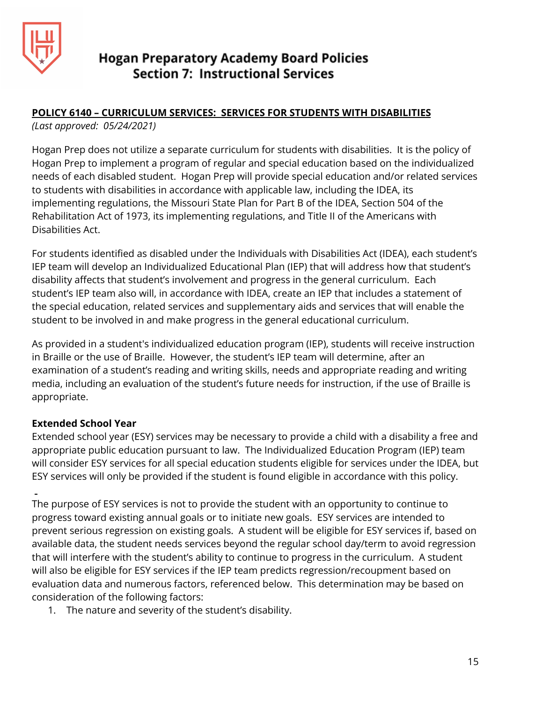

## **POLICY 6140 – CURRICULUM SERVICES: SERVICES FOR STUDENTS WITH DISABILITIES**

*(Last approved: 05/24/2021)*

Hogan Prep does not utilize a separate curriculum for students with disabilities. It is the policy of Hogan Prep to implement a program of regular and special education based on the individualized needs of each disabled student. Hogan Prep will provide special education and/or related services to students with disabilities in accordance with applicable law, including the IDEA, its implementing regulations, the Missouri State Plan for Part B of the IDEA, Section 504 of the Rehabilitation Act of 1973, its implementing regulations, and Title II of the Americans with Disabilities Act.

For students identified as disabled under the Individuals with Disabilities Act (IDEA), each student's IEP team will develop an Individualized Educational Plan (IEP) that will address how that student's disability affects that student's involvement and progress in the general curriculum. Each student's IEP team also will, in accordance with IDEA, create an IEP that includes a statement of the special education, related services and supplementary aids and services that will enable the student to be involved in and make progress in the general educational curriculum.

As provided in a student's individualized education program (IEP), students will receive instruction in Braille or the use of Braille. However, the student's IEP team will determine, after an examination of a student's reading and writing skills, needs and appropriate reading and writing media, including an evaluation of the student's future needs for instruction, if the use of Braille is appropriate.

## **Extended School Year**

Extended school year (ESY) services may be necessary to provide a child with a disability a free and appropriate public education pursuant to law. The Individualized Education Program (IEP) team will consider ESY services for all special education students eligible for services under the IDEA, but ESY services will only be provided if the student is found eligible in accordance with this policy.

The purpose of ESY services is not to provide the student with an opportunity to continue to progress toward existing annual goals or to initiate new goals. ESY services are intended to prevent serious regression on existing goals. A student will be eligible for ESY services if, based on available data, the student needs services beyond the regular school day/term to avoid regression that will interfere with the student's ability to continue to progress in the curriculum. A student will also be eligible for ESY services if the IEP team predicts regression/recoupment based on evaluation data and numerous factors, referenced below. This determination may be based on consideration of the following factors:

1. The nature and severity of the student's disability.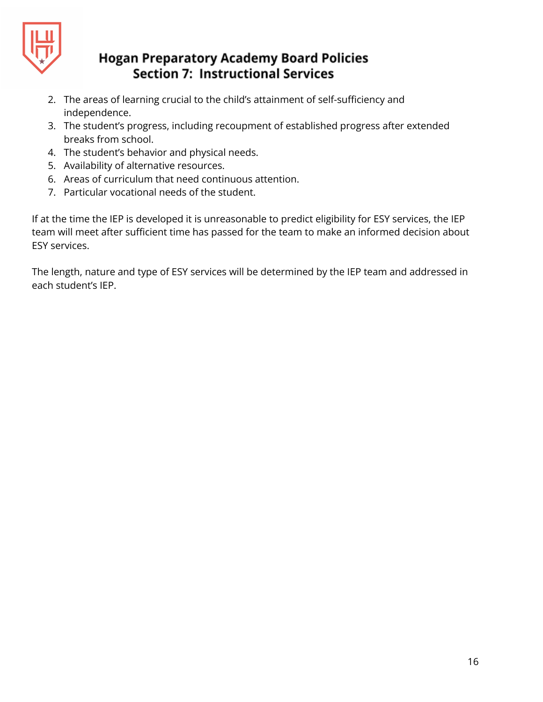

- 2. The areas of learning crucial to the child's attainment of self-sufficiency and independence.
- 3. The student's progress, including recoupment of established progress after extended breaks from school.
- 4. The student's behavior and physical needs.
- 5. Availability of alternative resources.
- 6. Areas of curriculum that need continuous attention.
- 7. Particular vocational needs of the student.

If at the time the IEP is developed it is unreasonable to predict eligibility for ESY services, the IEP team will meet after sufficient time has passed for the team to make an informed decision about ESY services.

The length, nature and type of ESY services will be determined by the IEP team and addressed in each student's IEP.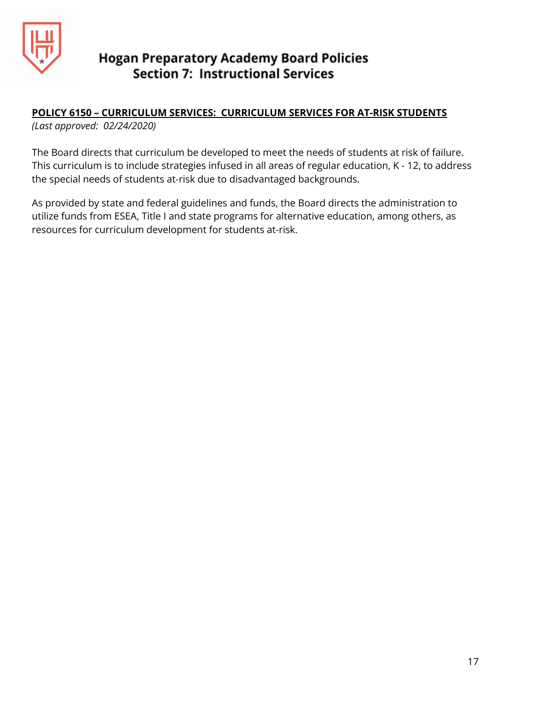

## **POLICY 6150 – CURRICULUM SERVICES: CURRICULUM SERVICES FOR AT-RISK STUDENTS**

*(Last approved: 02/24/2020)*

The Board directs that curriculum be developed to meet the needs of students at risk of failure. This curriculum is to include strategies infused in all areas of regular education, K - 12, to address the special needs of students at-risk due to disadvantaged backgrounds.

As provided by state and federal guidelines and funds, the Board directs the administration to utilize funds from ESEA, Title I and state programs for alternative education, among others, as resources for curriculum development for students at-risk.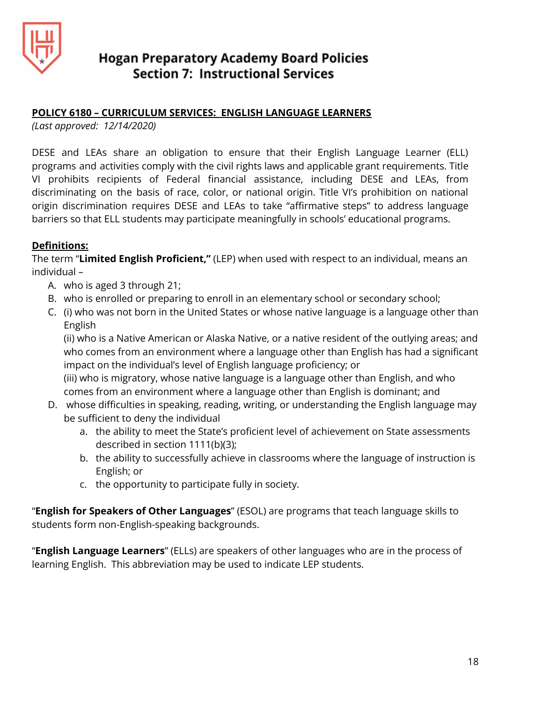

#### **POLICY 6180 – CURRICULUM SERVICES: ENGLISH LANGUAGE LEARNERS**

*(Last approved: 12/14/2020)*

DESE and LEAs share an obligation to ensure that their English Language Learner (ELL) programs and activities comply with the civil rights laws and applicable grant requirements. Title VI prohibits recipients of Federal financial assistance, including DESE and LEAs, from discriminating on the basis of race, color, or national origin. Title VI's prohibition on national origin discrimination requires DESE and LEAs to take "affirmative steps" to address language barriers so that ELL students may participate meaningfully in schools' educational programs.

#### **Definitions:**

The term "**Limited English Proficient,"** (LEP) when used with respect to an individual, means an individual –

- A. who is aged 3 through 21;
- B. who is enrolled or preparing to enroll in an elementary school or secondary school;
- C. (i) who was not born in the United States or whose native language is a language other than English

(ii) who is a Native American or Alaska Native, or a native resident of the outlying areas; and who comes from an environment where a language other than English has had a significant impact on the individual's level of English language proficiency; or (iii) who is migratory, whose native language is a language other than English, and who comes from an environment where a language other than English is dominant; and

- D. whose difficulties in speaking, reading, writing, or understanding the English language may be sufficient to deny the individual
	- a. the ability to meet the State's proficient level of achievement on State assessments described in section 1111(b)(3);
	- b. the ability to successfully achieve in classrooms where the language of instruction is English; or
	- c. the opportunity to participate fully in society.

"**English for Speakers of Other Languages**" (ESOL) are programs that teach language skills to students form non-English-speaking backgrounds.

"**English Language Learners**" (ELLs) are speakers of other languages who are in the process of learning English. This abbreviation may be used to indicate LEP students.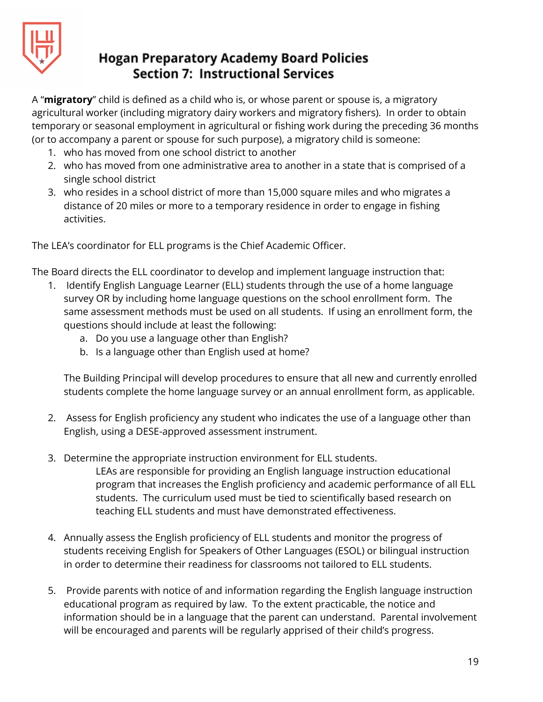

A "**migratory**" child is defined as a child who is, or whose parent or spouse is, a migratory agricultural worker (including migratory dairy workers and migratory fishers). In order to obtain temporary or seasonal employment in agricultural or fishing work during the preceding 36 months (or to accompany a parent or spouse for such purpose), a migratory child is someone:

- 1. who has moved from one school district to another
- 2. who has moved from one administrative area to another in a state that is comprised of a single school district
- 3. who resides in a school district of more than 15,000 square miles and who migrates a distance of 20 miles or more to a temporary residence in order to engage in fishing activities.

The LEA's coordinator for ELL programs is the Chief Academic Officer.

The Board directs the ELL coordinator to develop and implement language instruction that:

- 1. Identify English Language Learner (ELL) students through the use of a home language survey OR by including home language questions on the school enrollment form. The same assessment methods must be used on all students. If using an enrollment form, the questions should include at least the following:
	- a. Do you use a language other than English?
	- b. Is a language other than English used at home?

The Building Principal will develop procedures to ensure that all new and currently enrolled students complete the home language survey or an annual enrollment form, as applicable.

- 2. Assess for English proficiency any student who indicates the use of a language other than English, using a DESE-approved assessment instrument.
- 3. Determine the appropriate instruction environment for ELL students.

LEAs are responsible for providing an English language instruction educational program that increases the English proficiency and academic performance of all ELL students. The curriculum used must be tied to scientifically based research on teaching ELL students and must have demonstrated effectiveness.

- 4. Annually assess the English proficiency of ELL students and monitor the progress of students receiving English for Speakers of Other Languages (ESOL) or bilingual instruction in order to determine their readiness for classrooms not tailored to ELL students.
- 5. Provide parents with notice of and information regarding the English language instruction educational program as required by law. To the extent practicable, the notice and information should be in a language that the parent can understand. Parental involvement will be encouraged and parents will be regularly apprised of their child's progress.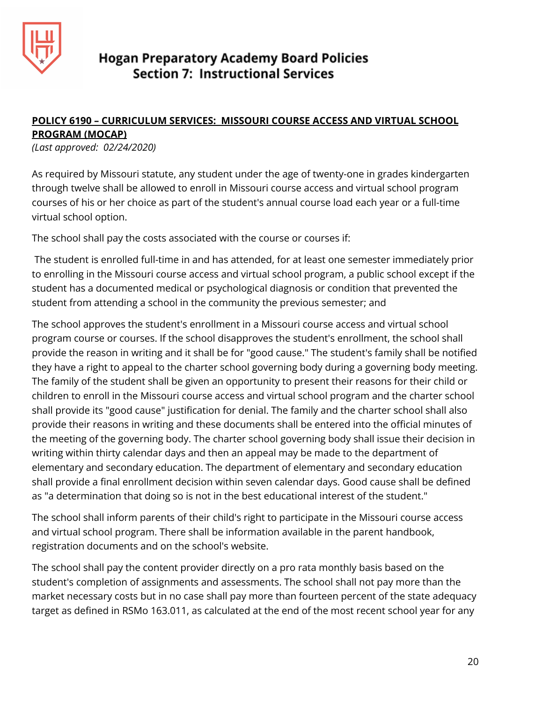

## **POLICY 6190 – CURRICULUM SERVICES: MISSOURI COURSE ACCESS AND VIRTUAL SCHOOL PROGRAM (MOCAP)**

*(Last approved: 02/24/2020)*

As required by Missouri statute, any student under the age of twenty-one in grades kindergarten through twelve shall be allowed to enroll in Missouri course access and virtual school program courses of his or her choice as part of the student's annual course load each year or a full-time virtual school option.

The school shall pay the costs associated with the course or courses if:

The student is enrolled full-time in and has attended, for at least one semester immediately prior to enrolling in the Missouri course access and virtual school program, a public school except if the student has a documented medical or psychological diagnosis or condition that prevented the student from attending a school in the community the previous semester; and

The school approves the student's enrollment in a Missouri course access and virtual school program course or courses. If the school disapproves the student's enrollment, the school shall provide the reason in writing and it shall be for "good cause." The student's family shall be notified they have a right to appeal to the charter school governing body during a governing body meeting. The family of the student shall be given an opportunity to present their reasons for their child or children to enroll in the Missouri course access and virtual school program and the charter school shall provide its "good cause" justification for denial. The family and the charter school shall also provide their reasons in writing and these documents shall be entered into the official minutes of the meeting of the governing body. The charter school governing body shall issue their decision in writing within thirty calendar days and then an appeal may be made to the department of elementary and secondary education. The department of elementary and secondary education shall provide a final enrollment decision within seven calendar days. Good cause shall be defined as "a determination that doing so is not in the best educational interest of the student."

The school shall inform parents of their child's right to participate in the Missouri course access and virtual school program. There shall be information available in the parent handbook, registration documents and on the school's website.

The school shall pay the content provider directly on a pro rata monthly basis based on the student's completion of assignments and assessments. The school shall not pay more than the market necessary costs but in no case shall pay more than fourteen percent of the state adequacy target as defined in RSMo 163.011, as calculated at the end of the most recent school year for any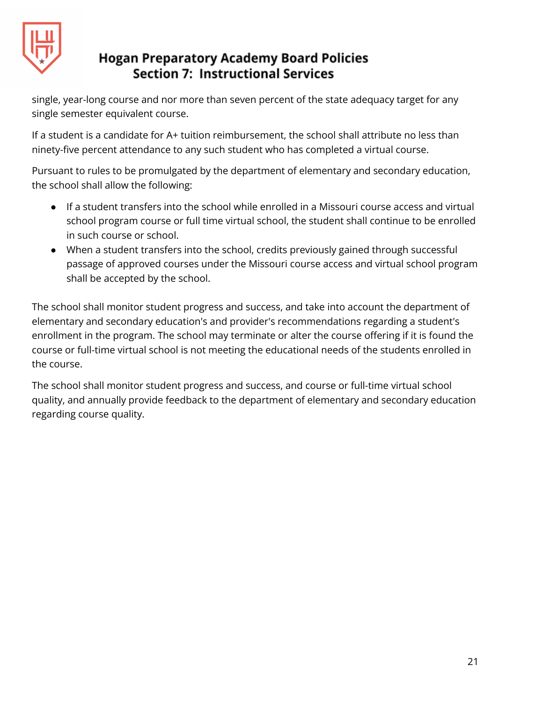

single, year-long course and nor more than seven percent of the state adequacy target for any single semester equivalent course.

If a student is a candidate for A+ tuition reimbursement, the school shall attribute no less than ninety-five percent attendance to any such student who has completed a virtual course.

Pursuant to rules to be promulgated by the department of elementary and secondary education, the school shall allow the following:

- If a student transfers into the school while enrolled in a Missouri course access and virtual school program course or full time virtual school, the student shall continue to be enrolled in such course or school.
- When a student transfers into the school, credits previously gained through successful passage of approved courses under the Missouri course access and virtual school program shall be accepted by the school.

The school shall monitor student progress and success, and take into account the department of elementary and secondary education's and provider's recommendations regarding a student's enrollment in the program. The school may terminate or alter the course offering if it is found the course or full-time virtual school is not meeting the educational needs of the students enrolled in the course.

The school shall monitor student progress and success, and course or full-time virtual school quality, and annually provide feedback to the department of elementary and secondary education regarding course quality.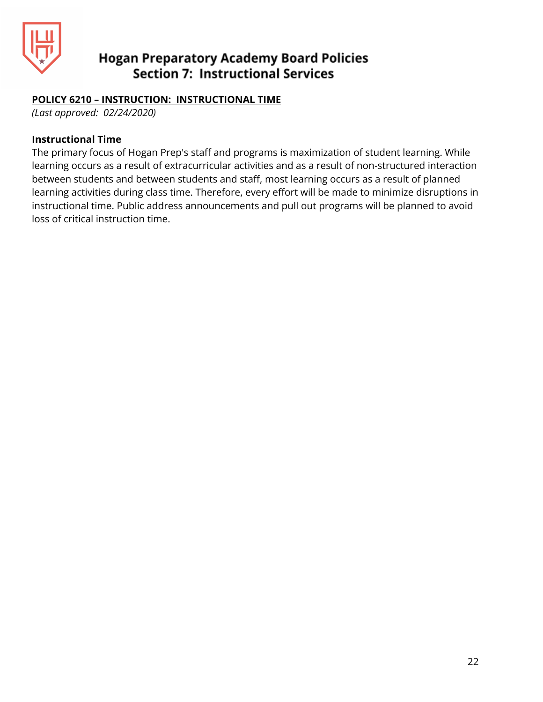

#### **POLICY 6210 – INSTRUCTION: INSTRUCTIONAL TIME**

*(Last approved: 02/24/2020)*

#### **Instructional Time**

The primary focus of Hogan Prep's staff and programs is maximization of student learning. While learning occurs as a result of extracurricular activities and as a result of non-structured interaction between students and between students and staff, most learning occurs as a result of planned learning activities during class time. Therefore, every effort will be made to minimize disruptions in instructional time. Public address announcements and pull out programs will be planned to avoid loss of critical instruction time.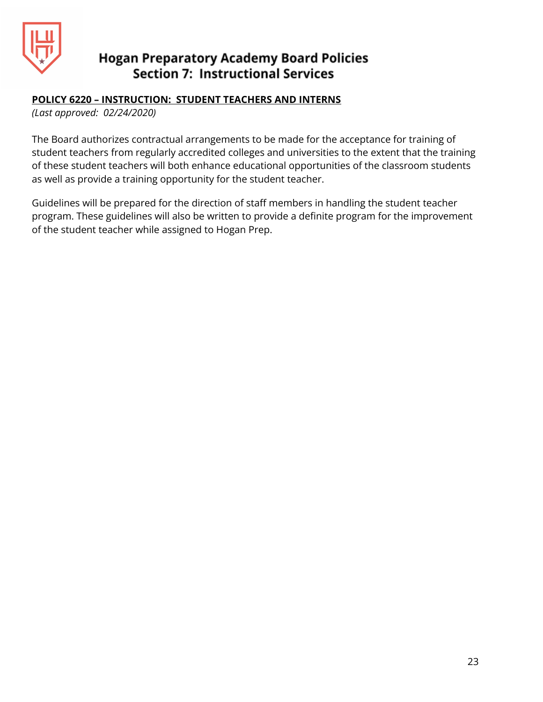

#### **POLICY 6220 – INSTRUCTION: STUDENT TEACHERS AND INTERNS**

*(Last approved: 02/24/2020)*

The Board authorizes contractual arrangements to be made for the acceptance for training of student teachers from regularly accredited colleges and universities to the extent that the training of these student teachers will both enhance educational opportunities of the classroom students as well as provide a training opportunity for the student teacher.

Guidelines will be prepared for the direction of staff members in handling the student teacher program. These guidelines will also be written to provide a definite program for the improvement of the student teacher while assigned to Hogan Prep.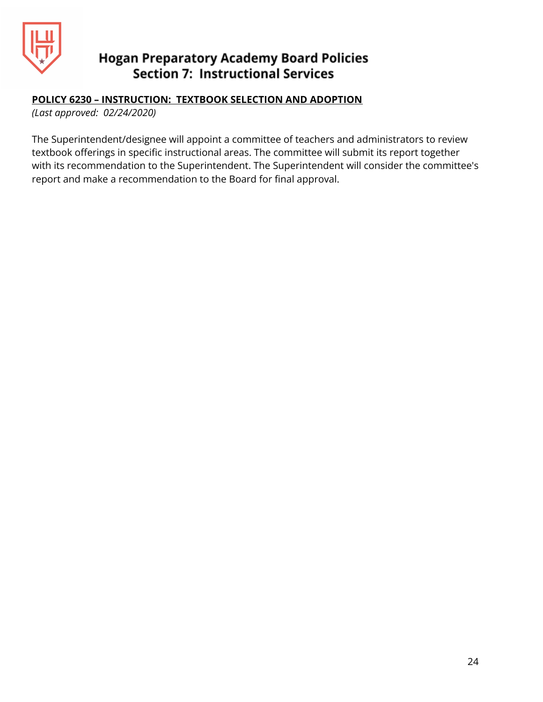

#### **POLICY 6230 – INSTRUCTION: TEXTBOOK SELECTION AND ADOPTION**

*(Last approved: 02/24/2020)*

The Superintendent/designee will appoint a committee of teachers and administrators to review textbook offerings in specific instructional areas. The committee will submit its report together with its recommendation to the Superintendent. The Superintendent will consider the committee's report and make a recommendation to the Board for final approval.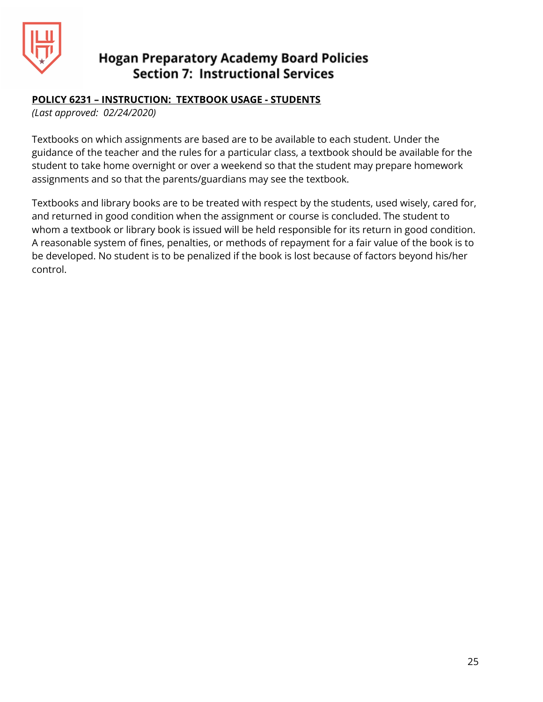

#### **POLICY 6231 – INSTRUCTION: TEXTBOOK USAGE - STUDENTS**

*(Last approved: 02/24/2020)*

Textbooks on which assignments are based are to be available to each student. Under the guidance of the teacher and the rules for a particular class, a textbook should be available for the student to take home overnight or over a weekend so that the student may prepare homework assignments and so that the parents/guardians may see the textbook.

Textbooks and library books are to be treated with respect by the students, used wisely, cared for, and returned in good condition when the assignment or course is concluded. The student to whom a textbook or library book is issued will be held responsible for its return in good condition. A reasonable system of fines, penalties, or methods of repayment for a fair value of the book is to be developed. No student is to be penalized if the book is lost because of factors beyond his/her control.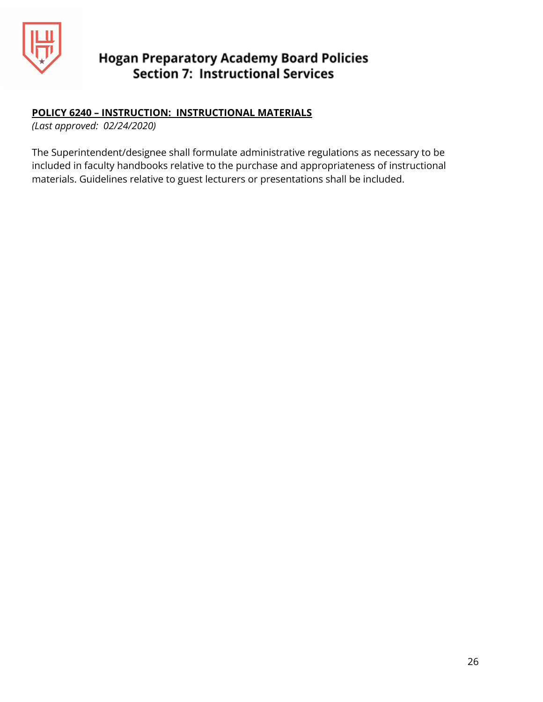

#### **POLICY 6240 – INSTRUCTION: INSTRUCTIONAL MATERIALS**

*(Last approved: 02/24/2020)*

The Superintendent/designee shall formulate administrative regulations as necessary to be included in faculty handbooks relative to the purchase and appropriateness of instructional materials. Guidelines relative to guest lecturers or presentations shall be included.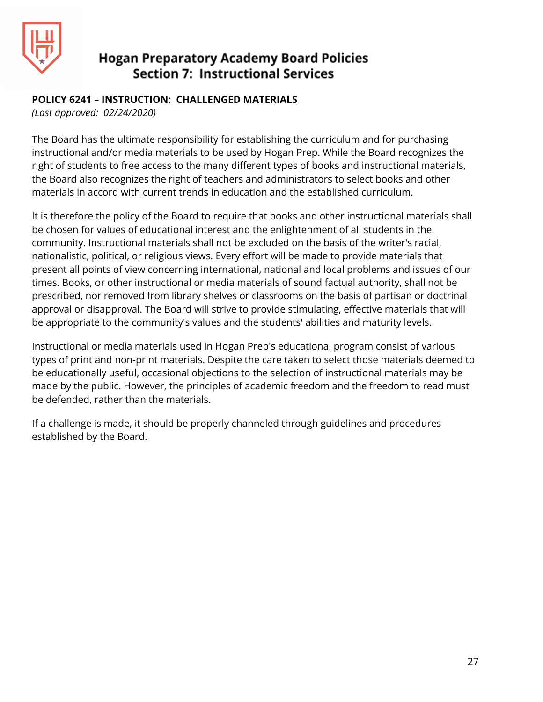

#### **POLICY 6241 – INSTRUCTION: CHALLENGED MATERIALS**

*(Last approved: 02/24/2020)*

The Board has the ultimate responsibility for establishing the curriculum and for purchasing instructional and/or media materials to be used by Hogan Prep. While the Board recognizes the right of students to free access to the many different types of books and instructional materials, the Board also recognizes the right of teachers and administrators to select books and other materials in accord with current trends in education and the established curriculum.

It is therefore the policy of the Board to require that books and other instructional materials shall be chosen for values of educational interest and the enlightenment of all students in the community. Instructional materials shall not be excluded on the basis of the writer's racial, nationalistic, political, or religious views. Every effort will be made to provide materials that present all points of view concerning international, national and local problems and issues of our times. Books, or other instructional or media materials of sound factual authority, shall not be prescribed, nor removed from library shelves or classrooms on the basis of partisan or doctrinal approval or disapproval. The Board will strive to provide stimulating, effective materials that will be appropriate to the community's values and the students' abilities and maturity levels.

Instructional or media materials used in Hogan Prep's educational program consist of various types of print and non-print materials. Despite the care taken to select those materials deemed to be educationally useful, occasional objections to the selection of instructional materials may be made by the public. However, the principles of academic freedom and the freedom to read must be defended, rather than the materials.

If a challenge is made, it should be properly channeled through guidelines and procedures established by the Board.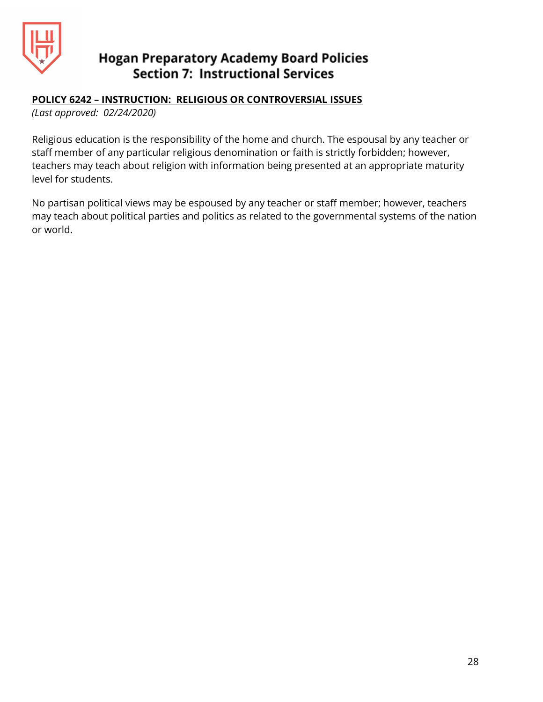

#### **POLICY 6242 – INSTRUCTION: RELIGIOUS OR CONTROVERSIAL ISSUES**

*(Last approved: 02/24/2020)*

Religious education is the responsibility of the home and church. The espousal by any teacher or staff member of any particular religious denomination or faith is strictly forbidden; however, teachers may teach about religion with information being presented at an appropriate maturity level for students.

No partisan political views may be espoused by any teacher or staff member; however, teachers may teach about political parties and politics as related to the governmental systems of the nation or world.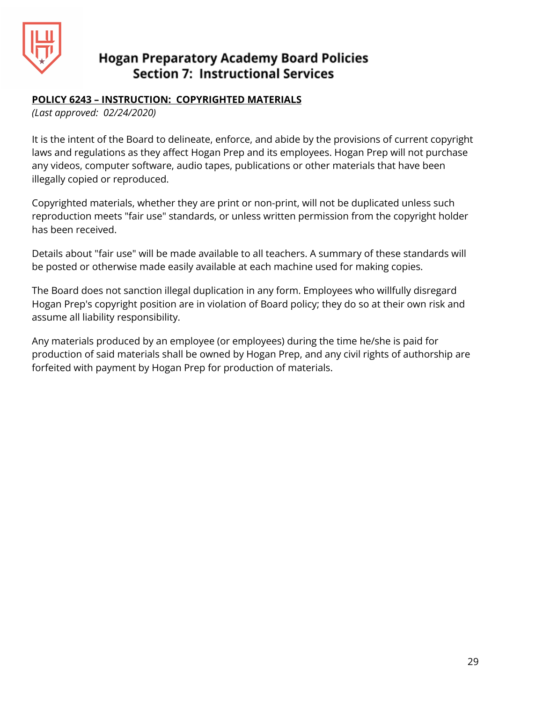

#### **POLICY 6243 – INSTRUCTION: COPYRIGHTED MATERIALS**

*(Last approved: 02/24/2020)*

It is the intent of the Board to delineate, enforce, and abide by the provisions of current copyright laws and regulations as they affect Hogan Prep and its employees. Hogan Prep will not purchase any videos, computer software, audio tapes, publications or other materials that have been illegally copied or reproduced.

Copyrighted materials, whether they are print or non-print, will not be duplicated unless such reproduction meets "fair use" standards, or unless written permission from the copyright holder has been received.

Details about "fair use" will be made available to all teachers. A summary of these standards will be posted or otherwise made easily available at each machine used for making copies.

The Board does not sanction illegal duplication in any form. Employees who willfully disregard Hogan Prep's copyright position are in violation of Board policy; they do so at their own risk and assume all liability responsibility.

Any materials produced by an employee (or employees) during the time he/she is paid for production of said materials shall be owned by Hogan Prep, and any civil rights of authorship are forfeited with payment by Hogan Prep for production of materials.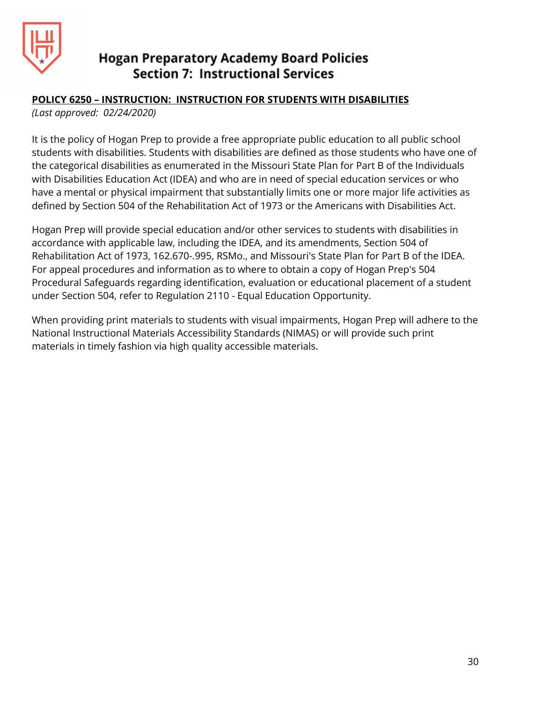

#### **POLICY 6250 – INSTRUCTION: INSTRUCTION FOR STUDENTS WITH DISABILITIES**

*(Last approved: 02/24/2020)*

It is the policy of Hogan Prep to provide a free appropriate public education to all public school students with disabilities. Students with disabilities are defined as those students who have one of the categorical disabilities as enumerated in the Missouri State Plan for Part B of the Individuals with Disabilities Education Act (IDEA) and who are in need of special education services or who have a mental or physical impairment that substantially limits one or more major life activities as defined by Section 504 of the Rehabilitation Act of 1973 or the Americans with Disabilities Act.

Hogan Prep will provide special education and/or other services to students with disabilities in accordance with applicable law, including the IDEA, and its amendments, Section 504 of Rehabilitation Act of 1973, 162.670-.995, RSMo., and Missouri's State Plan for Part B of the IDEA. For appeal procedures and information as to where to obtain a copy of Hogan Prep's 504 Procedural Safeguards regarding identification, evaluation or educational placement of a student under Section 504, refer to Regulation 2110 - Equal Education Opportunity.

When providing print materials to students with visual impairments, Hogan Prep will adhere to the National Instructional Materials Accessibility Standards (NIMAS) or will provide such print materials in timely fashion via high quality accessible materials.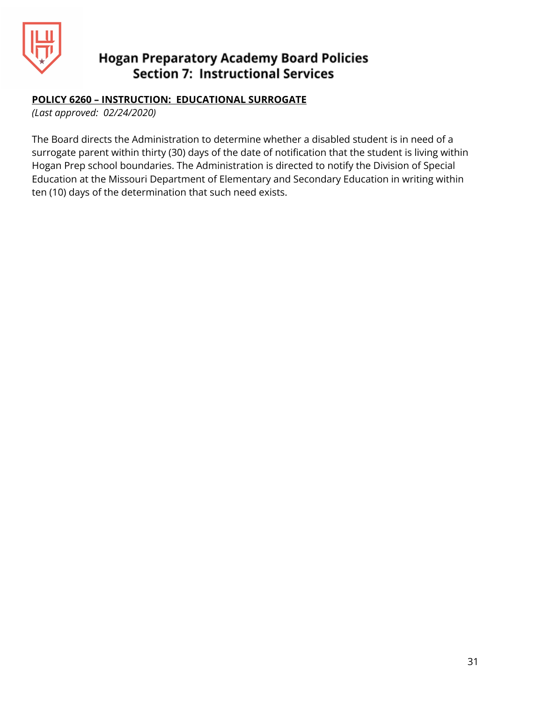

#### **POLICY 6260 – INSTRUCTION: EDUCATIONAL SURROGATE**

*(Last approved: 02/24/2020)*

The Board directs the Administration to determine whether a disabled student is in need of a surrogate parent within thirty (30) days of the date of notification that the student is living within Hogan Prep school boundaries. The Administration is directed to notify the Division of Special Education at the Missouri Department of Elementary and Secondary Education in writing within ten (10) days of the determination that such need exists.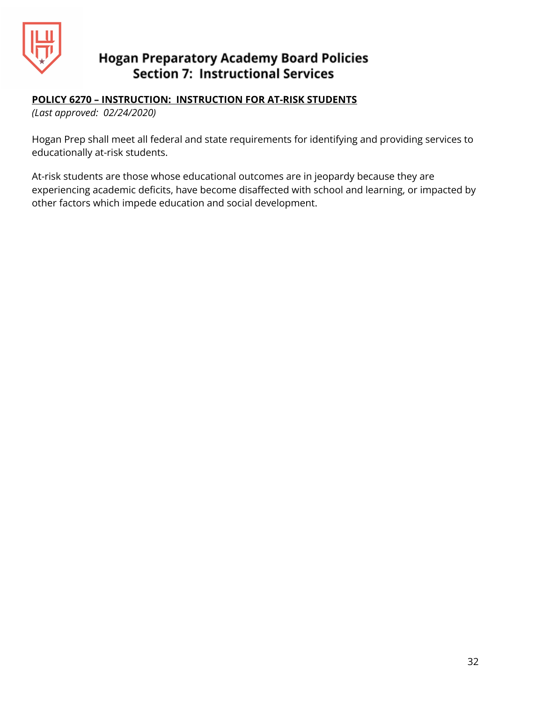

#### **POLICY 6270 – INSTRUCTION: INSTRUCTION FOR AT-RISK STUDENTS**

*(Last approved: 02/24/2020)*

Hogan Prep shall meet all federal and state requirements for identifying and providing services to educationally at-risk students.

At-risk students are those whose educational outcomes are in jeopardy because they are experiencing academic deficits, have become disaffected with school and learning, or impacted by other factors which impede education and social development.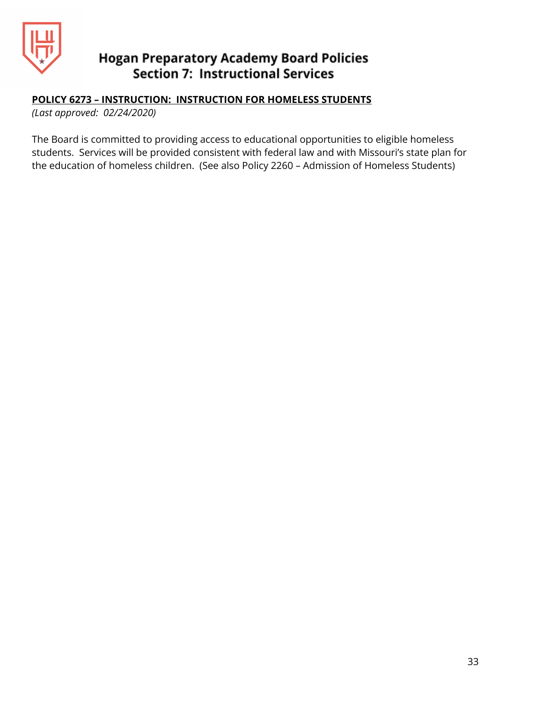

#### **POLICY 6273 – INSTRUCTION: INSTRUCTION FOR HOMELESS STUDENTS**

*(Last approved: 02/24/2020)*

The Board is committed to providing access to educational opportunities to eligible homeless students. Services will be provided consistent with federal law and with Missouri's state plan for the education of homeless children. (See also Policy 2260 – Admission of Homeless Students)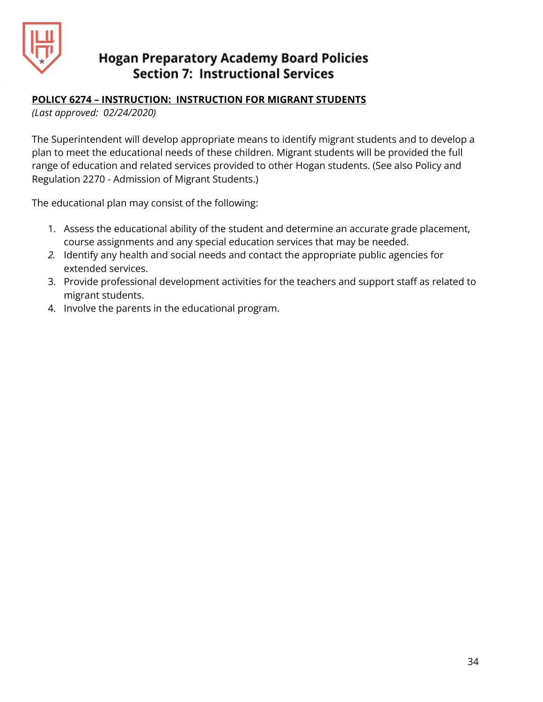

#### **POLICY 6274 – INSTRUCTION: INSTRUCTION FOR MIGRANT STUDENTS**

*(Last approved: 02/24/2020)*

The Superintendent will develop appropriate means to identify migrant students and to develop a plan to meet the educational needs of these children. Migrant students will be provided the full range of education and related services provided to other Hogan students. (See also Policy and Regulation 2270 - Admission of Migrant Students.)

The educational plan may consist of the following:

- 1. Assess the educational ability of the student and determine an accurate grade placement, course assignments and any special education services that may be needed.
- *2.* Identify any health and social needs and contact the appropriate public agencies for extended services.
- 3. Provide professional development activities for the teachers and support staff as related to migrant students.
- 4. Involve the parents in the educational program.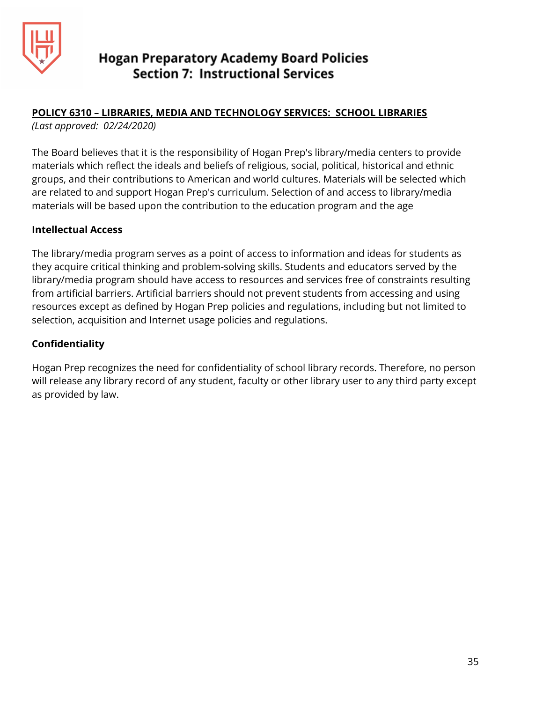

## **POLICY 6310 – LIBRARIES, MEDIA AND TECHNOLOGY SERVICES: SCHOOL LIBRARIES**

*(Last approved: 02/24/2020)*

The Board believes that it is the responsibility of Hogan Prep's library/media centers to provide materials which reflect the ideals and beliefs of religious, social, political, historical and ethnic groups, and their contributions to American and world cultures. Materials will be selected which are related to and support Hogan Prep's curriculum. Selection of and access to library/media materials will be based upon the contribution to the education program and the age

#### **Intellectual Access**

The library/media program serves as a point of access to information and ideas for students as they acquire critical thinking and problem-solving skills. Students and educators served by the library/media program should have access to resources and services free of constraints resulting from artificial barriers. Artificial barriers should not prevent students from accessing and using resources except as defined by Hogan Prep policies and regulations, including but not limited to selection, acquisition and Internet usage policies and regulations.

#### **Confidentiality**

Hogan Prep recognizes the need for confidentiality of school library records. Therefore, no person will release any library record of any student, faculty or other library user to any third party except as provided by law.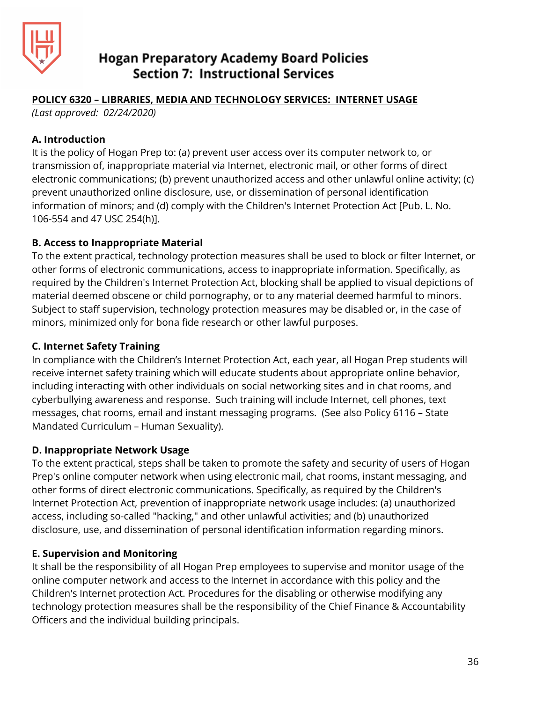

#### **POLICY 6320 – LIBRARIES, MEDIA AND TECHNOLOGY SERVICES: INTERNET USAGE**

*(Last approved: 02/24/2020)*

#### **A. Introduction**

It is the policy of Hogan Prep to: (a) prevent user access over its computer network to, or transmission of, inappropriate material via Internet, electronic mail, or other forms of direct electronic communications; (b) prevent unauthorized access and other unlawful online activity; (c) prevent unauthorized online disclosure, use, or dissemination of personal identification information of minors; and (d) comply with the Children's Internet Protection Act [Pub. L. No. 106-554 and 47 USC 254(h)].

## **B. Access to Inappropriate Material**

To the extent practical, technology protection measures shall be used to block or filter Internet, or other forms of electronic communications, access to inappropriate information. Specifically, as required by the Children's Internet Protection Act, blocking shall be applied to visual depictions of material deemed obscene or child pornography, or to any material deemed harmful to minors. Subject to staff supervision, technology protection measures may be disabled or, in the case of minors, minimized only for bona fide research or other lawful purposes.

## **C. Internet Safety Training**

In compliance with the Children's Internet Protection Act, each year, all Hogan Prep students will receive internet safety training which will educate students about appropriate online behavior, including interacting with other individuals on social networking sites and in chat rooms, and cyberbullying awareness and response. Such training will include Internet, cell phones, text messages, chat rooms, email and instant messaging programs. (See also Policy 6116 – State Mandated Curriculum – Human Sexuality).

#### **D. Inappropriate Network Usage**

To the extent practical, steps shall be taken to promote the safety and security of users of Hogan Prep's online computer network when using electronic mail, chat rooms, instant messaging, and other forms of direct electronic communications. Specifically, as required by the Children's Internet Protection Act, prevention of inappropriate network usage includes: (a) unauthorized access, including so-called "hacking," and other unlawful activities; and (b) unauthorized disclosure, use, and dissemination of personal identification information regarding minors.

## **E. Supervision and Monitoring**

It shall be the responsibility of all Hogan Prep employees to supervise and monitor usage of the online computer network and access to the Internet in accordance with this policy and the Children's Internet protection Act. Procedures for the disabling or otherwise modifying any technology protection measures shall be the responsibility of the Chief Finance & Accountability Officers and the individual building principals.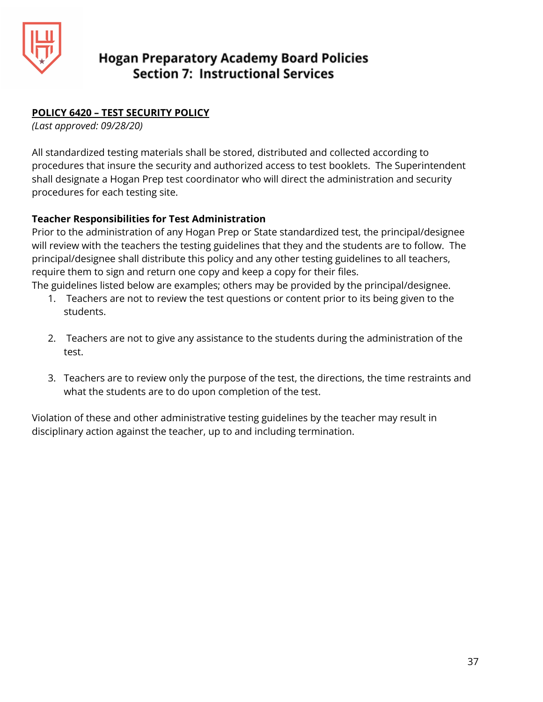

## **POLICY 6420 – TEST SECURITY POLICY**

*(Last approved: 09/28/20)*

All standardized testing materials shall be stored, distributed and collected according to procedures that insure the security and authorized access to test booklets. The Superintendent shall designate a Hogan Prep test coordinator who will direct the administration and security procedures for each testing site.

## **Teacher Responsibilities for Test Administration**

Prior to the administration of any Hogan Prep or State standardized test, the principal/designee will review with the teachers the testing guidelines that they and the students are to follow. The principal/designee shall distribute this policy and any other testing guidelines to all teachers, require them to sign and return one copy and keep a copy for their files.

The guidelines listed below are examples; others may be provided by the principal/designee.

- 1. Teachers are not to review the test questions or content prior to its being given to the students.
- 2. Teachers are not to give any assistance to the students during the administration of the test.
- 3. Teachers are to review only the purpose of the test, the directions, the time restraints and what the students are to do upon completion of the test.

Violation of these and other administrative testing guidelines by the teacher may result in disciplinary action against the teacher, up to and including termination.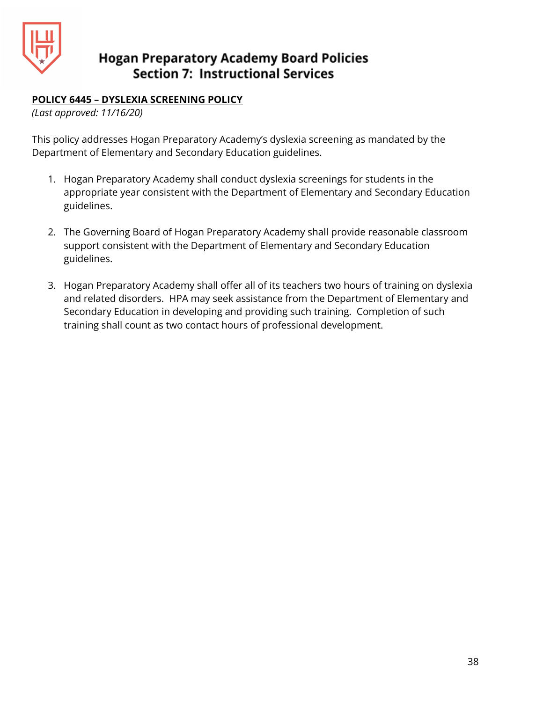

#### **POLICY 6445 – DYSLEXIA SCREENING POLICY**

*(Last approved: 11/16/20)*

This policy addresses Hogan Preparatory Academy's dyslexia screening as mandated by the Department of Elementary and Secondary Education guidelines.

- 1. Hogan Preparatory Academy shall conduct dyslexia screenings for students in the appropriate year consistent with the Department of Elementary and Secondary Education guidelines.
- 2. The Governing Board of Hogan Preparatory Academy shall provide reasonable classroom support consistent with the Department of Elementary and Secondary Education guidelines.
- 3. Hogan Preparatory Academy shall offer all of its teachers two hours of training on dyslexia and related disorders. HPA may seek assistance from the Department of Elementary and Secondary Education in developing and providing such training. Completion of such training shall count as two contact hours of professional development.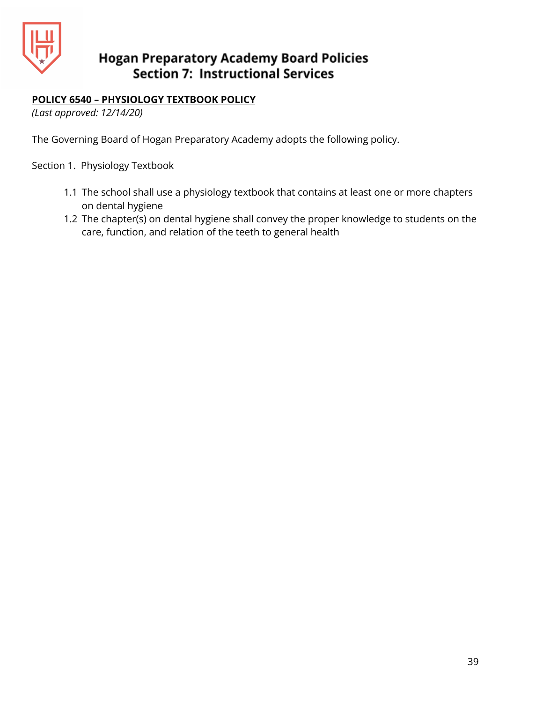

## **POLICY 6540 – PHYSIOLOGY TEXTBOOK POLICY**

*(Last approved: 12/14/20)*

The Governing Board of Hogan Preparatory Academy adopts the following policy.

Section 1. Physiology Textbook

- 1.1 The school shall use a physiology textbook that contains at least one or more chapters on dental hygiene
- 1.2 The chapter(s) on dental hygiene shall convey the proper knowledge to students on the care, function, and relation of the teeth to general health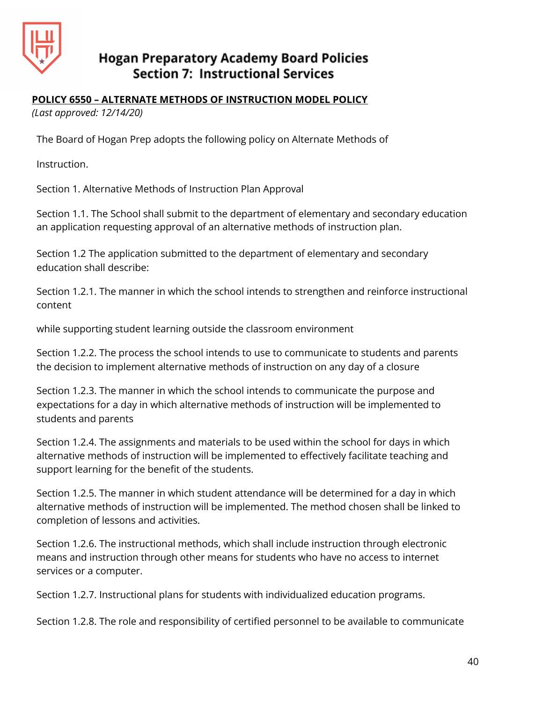

#### **POLICY 6550 – ALTERNATE METHODS OF INSTRUCTION MODEL POLICY**

*(Last approved: 12/14/20)*

The Board of Hogan Prep adopts the following policy on Alternate Methods of

Instruction.

Section 1. Alternative Methods of Instruction Plan Approval

Section 1.1. The School shall submit to the department of elementary and secondary education an application requesting approval of an alternative methods of instruction plan.

Section 1.2 The application submitted to the department of elementary and secondary education shall describe:

Section 1.2.1. The manner in which the school intends to strengthen and reinforce instructional content

while supporting student learning outside the classroom environment

Section 1.2.2. The process the school intends to use to communicate to students and parents the decision to implement alternative methods of instruction on any day of a closure

Section 1.2.3. The manner in which the school intends to communicate the purpose and expectations for a day in which alternative methods of instruction will be implemented to students and parents

Section 1.2.4. The assignments and materials to be used within the school for days in which alternative methods of instruction will be implemented to effectively facilitate teaching and support learning for the benefit of the students.

Section 1.2.5. The manner in which student attendance will be determined for a day in which alternative methods of instruction will be implemented. The method chosen shall be linked to completion of lessons and activities.

Section 1.2.6. The instructional methods, which shall include instruction through electronic means and instruction through other means for students who have no access to internet services or a computer.

Section 1.2.7. Instructional plans for students with individualized education programs.

Section 1.2.8. The role and responsibility of certified personnel to be available to communicate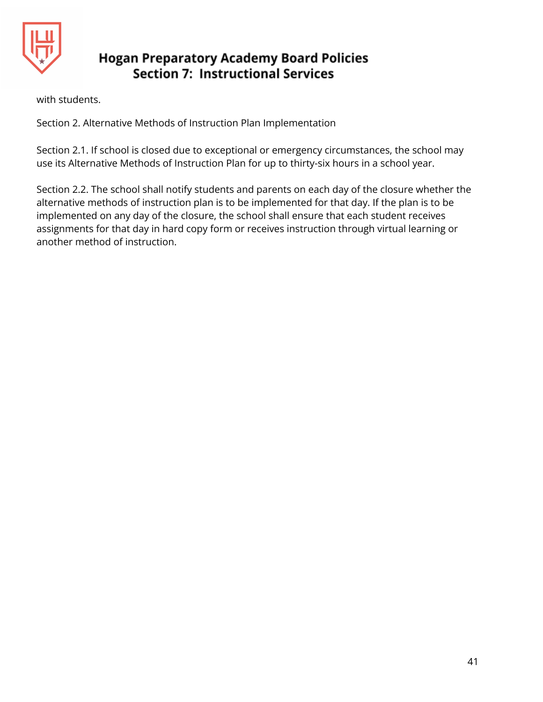

with students.

Section 2. Alternative Methods of Instruction Plan Implementation

Section 2.1. If school is closed due to exceptional or emergency circumstances, the school may use its Alternative Methods of Instruction Plan for up to thirty-six hours in a school year.

Section 2.2. The school shall notify students and parents on each day of the closure whether the alternative methods of instruction plan is to be implemented for that day. If the plan is to be implemented on any day of the closure, the school shall ensure that each student receives assignments for that day in hard copy form or receives instruction through virtual learning or another method of instruction.